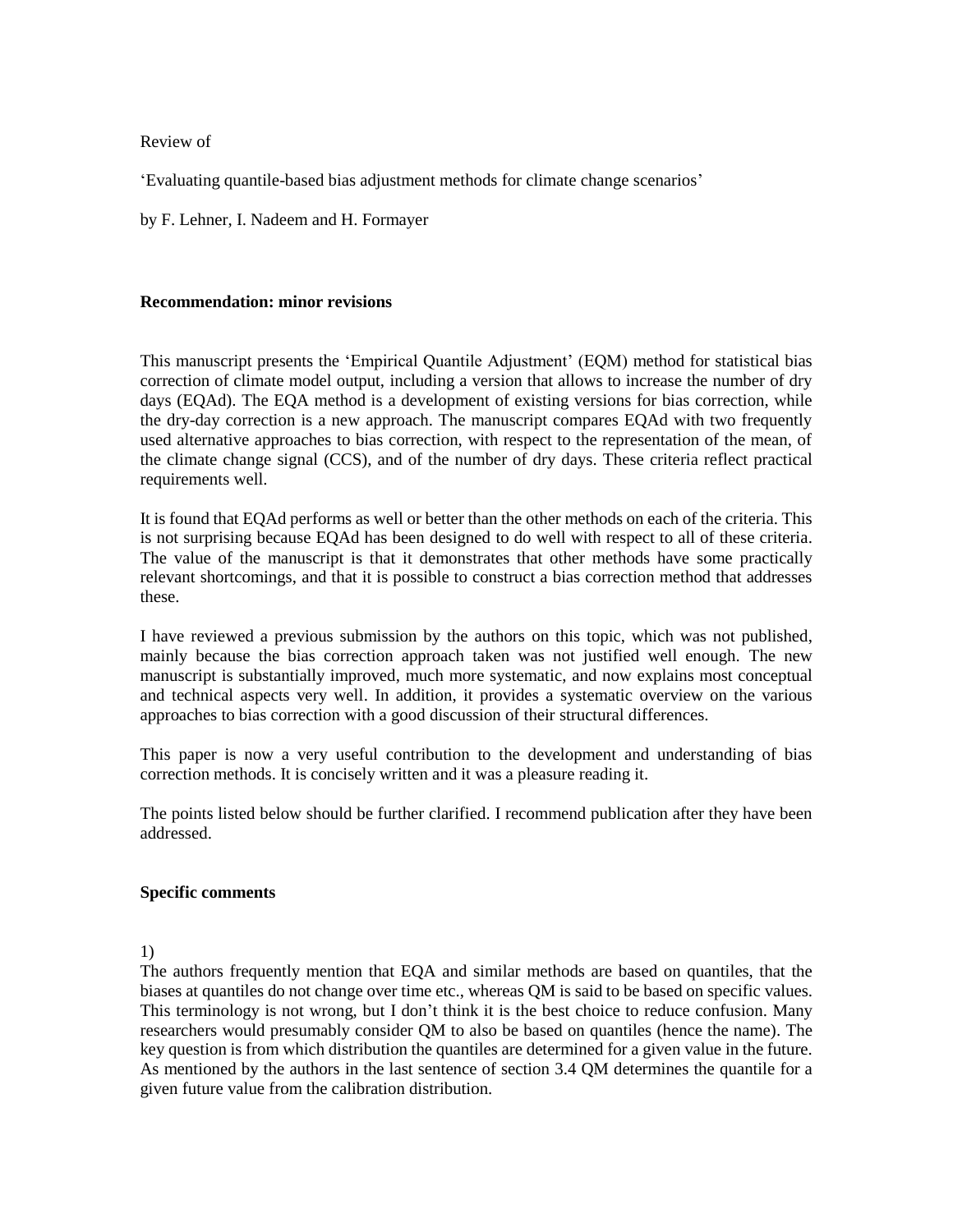Review of

'Evaluating quantile-based bias adjustment methods for climate change scenarios'

by F. Lehner, I. Nadeem and H. Formayer

### **Recommendation: minor revisions**

This manuscript presents the 'Empirical Quantile Adjustment' (EQM) method for statistical bias correction of climate model output, including a version that allows to increase the number of dry days (EQAd). The EQA method is a development of existing versions for bias correction, while the dry-day correction is a new approach. The manuscript compares EQAd with two frequently used alternative approaches to bias correction, with respect to the representation of the mean, of the climate change signal (CCS), and of the number of dry days. These criteria reflect practical requirements well.

It is found that EQAd performs as well or better than the other methods on each of the criteria. This is not surprising because EQAd has been designed to do well with respect to all of these criteria. The value of the manuscript is that it demonstrates that other methods have some practically relevant shortcomings, and that it is possible to construct a bias correction method that addresses these.

I have reviewed a previous submission by the authors on this topic, which was not published, mainly because the bias correction approach taken was not justified well enough. The new manuscript is substantially improved, much more systematic, and now explains most conceptual and technical aspects very well. In addition, it provides a systematic overview on the various approaches to bias correction with a good discussion of their structural differences.

This paper is now a very useful contribution to the development and understanding of bias correction methods. It is concisely written and it was a pleasure reading it.

The points listed below should be further clarified. I recommend publication after they have been addressed.

#### **Specific comments**

1)

The authors frequently mention that EQA and similar methods are based on quantiles, that the biases at quantiles do not change over time etc., whereas QM is said to be based on specific values. This terminology is not wrong, but I don't think it is the best choice to reduce confusion. Many researchers would presumably consider QM to also be based on quantiles (hence the name). The key question is from which distribution the quantiles are determined for a given value in the future. As mentioned by the authors in the last sentence of section 3.4 QM determines the quantile for a given future value from the calibration distribution.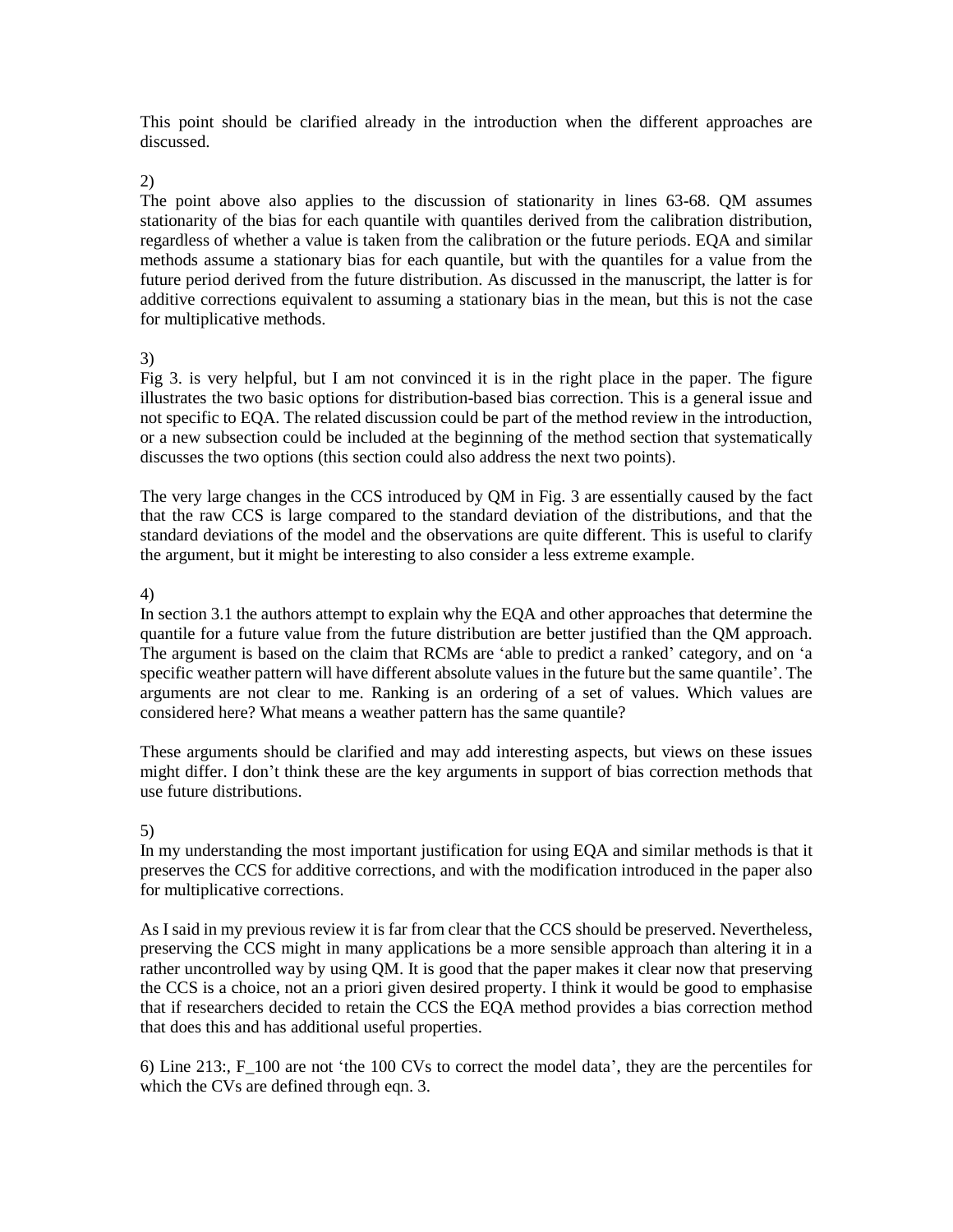This point should be clarified already in the introduction when the different approaches are discussed.

#### 2)

The point above also applies to the discussion of stationarity in lines 63-68. QM assumes stationarity of the bias for each quantile with quantiles derived from the calibration distribution, regardless of whether a value is taken from the calibration or the future periods. EQA and similar methods assume a stationary bias for each quantile, but with the quantiles for a value from the future period derived from the future distribution. As discussed in the manuscript, the latter is for additive corrections equivalent to assuming a stationary bias in the mean, but this is not the case for multiplicative methods.

# 3)

Fig 3. is very helpful, but I am not convinced it is in the right place in the paper. The figure illustrates the two basic options for distribution-based bias correction. This is a general issue and not specific to EQA. The related discussion could be part of the method review in the introduction, or a new subsection could be included at the beginning of the method section that systematically discusses the two options (this section could also address the next two points).

The very large changes in the CCS introduced by QM in Fig. 3 are essentially caused by the fact that the raw CCS is large compared to the standard deviation of the distributions, and that the standard deviations of the model and the observations are quite different. This is useful to clarify the argument, but it might be interesting to also consider a less extreme example.

# 4)

In section 3.1 the authors attempt to explain why the EQA and other approaches that determine the quantile for a future value from the future distribution are better justified than the QM approach. The argument is based on the claim that RCMs are 'able to predict a ranked' category, and on 'a specific weather pattern will have different absolute values in the future but the same quantile'. The arguments are not clear to me. Ranking is an ordering of a set of values. Which values are considered here? What means a weather pattern has the same quantile?

These arguments should be clarified and may add interesting aspects, but views on these issues might differ. I don't think these are the key arguments in support of bias correction methods that use future distributions.

# 5)

In my understanding the most important justification for using EQA and similar methods is that it preserves the CCS for additive corrections, and with the modification introduced in the paper also for multiplicative corrections.

As I said in my previous review it is far from clear that the CCS should be preserved. Nevertheless, preserving the CCS might in many applications be a more sensible approach than altering it in a rather uncontrolled way by using QM. It is good that the paper makes it clear now that preserving the CCS is a choice, not an a priori given desired property. I think it would be good to emphasise that if researchers decided to retain the CCS the EQA method provides a bias correction method that does this and has additional useful properties.

6) Line 213:, F\_100 are not 'the 100 CVs to correct the model data', they are the percentiles for which the CVs are defined through eqn. 3.